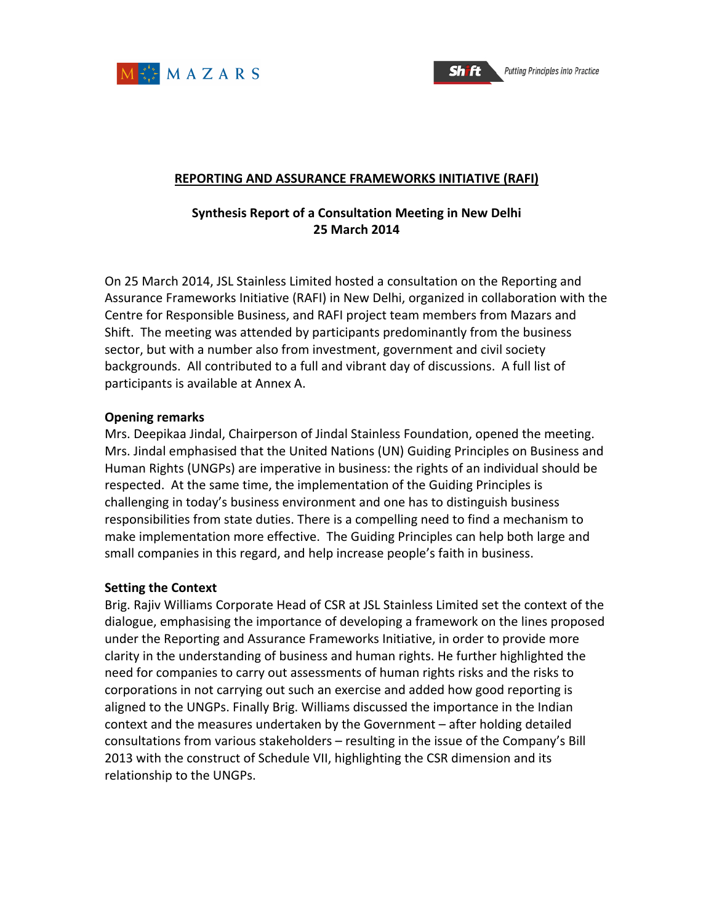



#### **REPORTING AND ASSURANCE FRAMEWORKS INITIATIVE (RAFI)**

### **Synthesis Report of a Consultation Meeting in New Delhi 25 March 2014**

On 25 March 2014, JSL Stainless Limited hosted a consultation on the Reporting and Assurance Frameworks Initiative (RAFI) in New Delhi, organized in collaboration with the Centre for Responsible Business, and RAFI project team members from Mazars and Shift. The meeting was attended by participants predominantly from the business sector, but with a number also from investment, government and civil society backgrounds. All contributed to a full and vibrant day of discussions. A full list of participants is available at Annex A.

#### **Opening remarks**

Mrs. Deepikaa Jindal, Chairperson of Jindal Stainless Foundation, opened the meeting. Mrs. Jindal emphasised that the United Nations (UN) Guiding Principles on Business and Human Rights (UNGPs) are imperative in business: the rights of an individual should be respected. At the same time, the implementation of the Guiding Principles is challenging in today's business environment and one has to distinguish business responsibilities from state duties. There is a compelling need to find a mechanism to make implementation more effective. The Guiding Principles can help both large and small companies in this regard, and help increase people's faith in business.

### **Setting the Context**

Brig. Rajiv Williams Corporate Head of CSR at JSL Stainless Limited set the context of the dialogue, emphasising the importance of developing a framework on the lines proposed under the Reporting and Assurance Frameworks Initiative, in order to provide more clarity in the understanding of business and human rights. He further highlighted the need for companies to carry out assessments of human rights risks and the risks to corporations in not carrying out such an exercise and added how good reporting is aligned to the UNGPs. Finally Brig. Williams discussed the importance in the Indian context and the measures undertaken by the Government - after holding detailed consultations from various stakeholders  $-$  resulting in the issue of the Company's Bill 2013 with the construct of Schedule VII, highlighting the CSR dimension and its relationship to the UNGPs.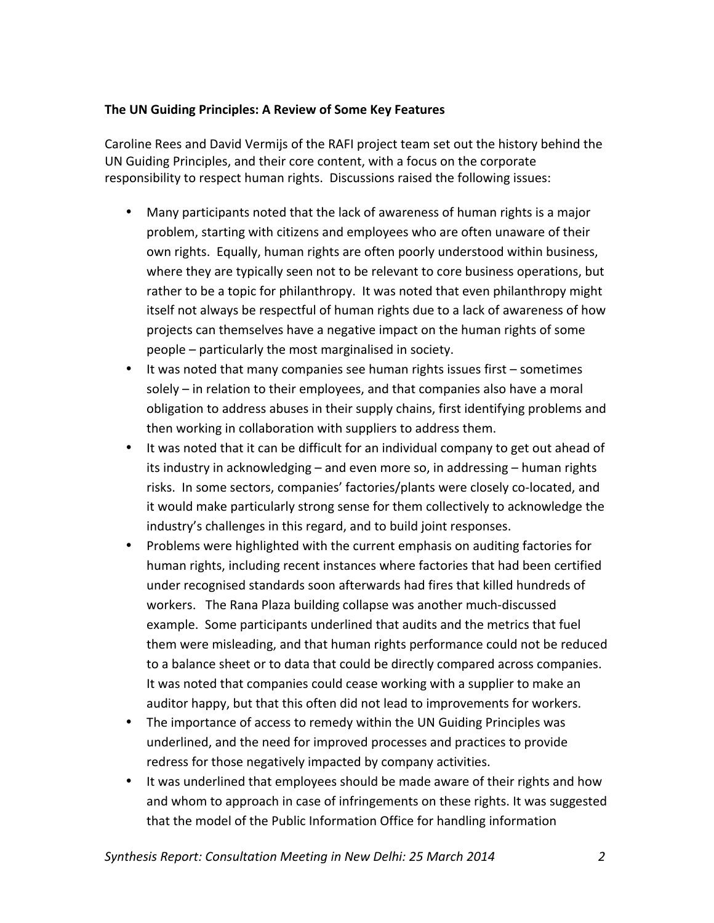### **The UN Guiding Principles: A Review of Some Key Features**

Caroline Rees and David Vermijs of the RAFI project team set out the history behind the UN Guiding Principles, and their core content, with a focus on the corporate responsibility to respect human rights. Discussions raised the following issues:

- Many participants noted that the lack of awareness of human rights is a major problem, starting with citizens and employees who are often unaware of their own rights. Equally, human rights are often poorly understood within business, where they are typically seen not to be relevant to core business operations, but rather to be a topic for philanthropy. It was noted that even philanthropy might itself not always be respectful of human rights due to a lack of awareness of how projects can themselves have a negative impact on the human rights of some people – particularly the most marginalised in society.
- It was noted that many companies see human rights issues first sometimes solely  $-$  in relation to their employees, and that companies also have a moral obligation to address abuses in their supply chains, first identifying problems and then working in collaboration with suppliers to address them.
- It was noted that it can be difficult for an individual company to get out ahead of its industry in acknowledging  $-$  and even more so, in addressing  $-$  human rights risks. In some sectors, companies' factories/plants were closely co-located, and it would make particularly strong sense for them collectively to acknowledge the industry's challenges in this regard, and to build joint responses.
- Problems were highlighted with the current emphasis on auditing factories for human rights, including recent instances where factories that had been certified under recognised standards soon afterwards had fires that killed hundreds of workers. The Rana Plaza building collapse was another much-discussed example. Some participants underlined that audits and the metrics that fuel them were misleading, and that human rights performance could not be reduced to a balance sheet or to data that could be directly compared across companies. It was noted that companies could cease working with a supplier to make an auditor happy, but that this often did not lead to improvements for workers.
- The importance of access to remedy within the UN Guiding Principles was underlined, and the need for improved processes and practices to provide redress for those negatively impacted by company activities.
- It was underlined that employees should be made aware of their rights and how and whom to approach in case of infringements on these rights. It was suggested that the model of the Public Information Office for handling information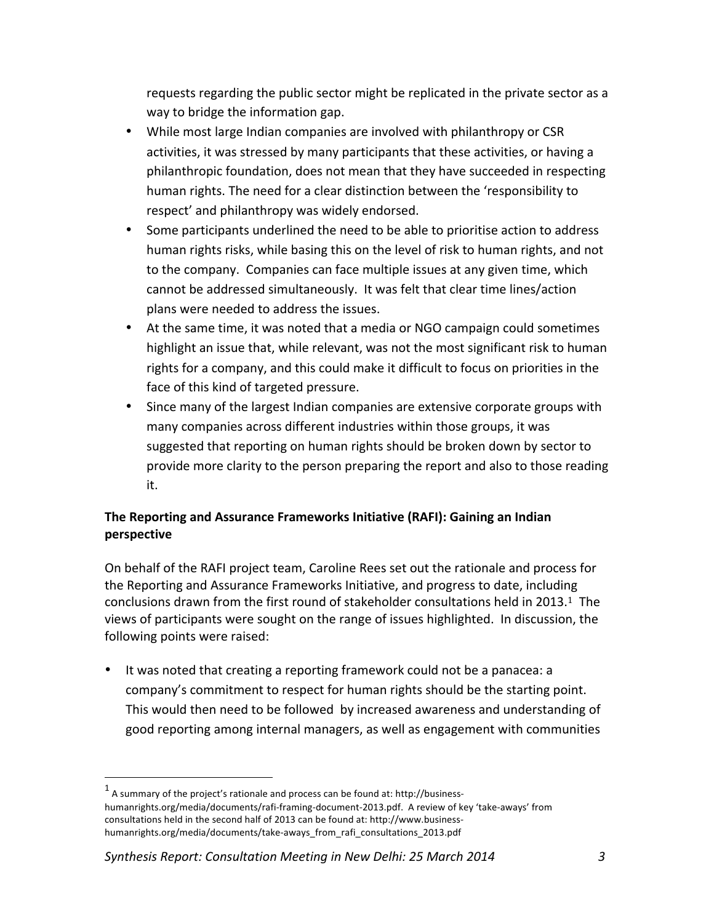requests regarding the public sector might be replicated in the private sector as a way to bridge the information gap.

- While most large Indian companies are involved with philanthropy or CSR activities, it was stressed by many participants that these activities, or having a philanthropic foundation, does not mean that they have succeeded in respecting human rights. The need for a clear distinction between the 'responsibility to respect' and philanthropy was widely endorsed.
- Some participants underlined the need to be able to prioritise action to address human rights risks, while basing this on the level of risk to human rights, and not to the company. Companies can face multiple issues at any given time, which cannot be addressed simultaneously. It was felt that clear time lines/action plans were needed to address the issues.
- At the same time, it was noted that a media or NGO campaign could sometimes highlight an issue that, while relevant, was not the most significant risk to human rights for a company, and this could make it difficult to focus on priorities in the face of this kind of targeted pressure.
- Since many of the largest Indian companies are extensive corporate groups with many companies across different industries within those groups, it was suggested that reporting on human rights should be broken down by sector to provide more clarity to the person preparing the report and also to those reading it.

# **The Reporting and Assurance Frameworks Initiative (RAFI): Gaining an Indian perspective**

On behalf of the RAFI project team, Caroline Rees set out the rationale and process for the Reporting and Assurance Frameworks Initiative, and progress to date, including conclusions drawn from the first round of stakeholder consultations held in 2013.<sup>1</sup> The views of participants were sought on the range of issues highlighted. In discussion, the following points were raised:

• It was noted that creating a reporting framework could not be a panacea: a company's commitment to respect for human rights should be the starting point. This would then need to be followed by increased awareness and understanding of good reporting among internal managers, as well as engagement with communities

*Synthesis Report: Consultation Meeting in New Delhi: 25 March 2014 3*

 

 $^1$  A summary of the project's rationale and process can be found at: http://businesshumanrights.org/media/documents/rafi-framing-document-2013.pdf. A review of key 'take-aways' from consultations held in the second half of 2013 can be found at: http://www.businesshumanrights.org/media/documents/take-aways\_from\_rafi\_consultations\_2013.pdf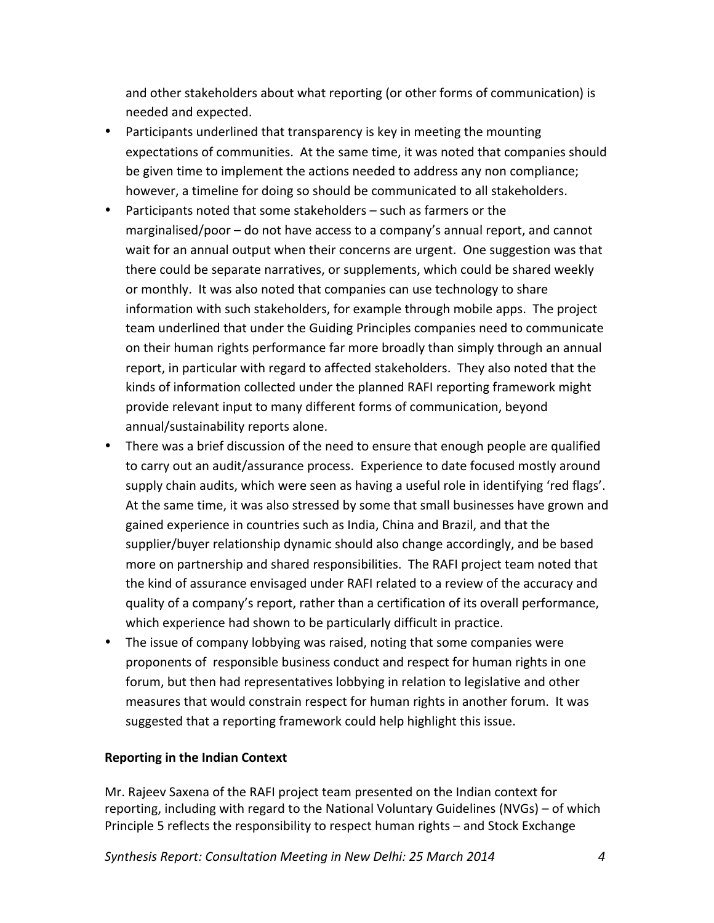and other stakeholders about what reporting (or other forms of communication) is needed and expected. 

- Participants underlined that transparency is key in meeting the mounting expectations of communities. At the same time, it was noted that companies should be given time to implement the actions needed to address any non compliance; however, a timeline for doing so should be communicated to all stakeholders.
- Participants noted that some stakeholders  $-$  such as farmers or the marginalised/poor  $-$  do not have access to a company's annual report, and cannot wait for an annual output when their concerns are urgent. One suggestion was that there could be separate narratives, or supplements, which could be shared weekly or monthly. It was also noted that companies can use technology to share information with such stakeholders, for example through mobile apps. The project team underlined that under the Guiding Principles companies need to communicate on their human rights performance far more broadly than simply through an annual report, in particular with regard to affected stakeholders. They also noted that the kinds of information collected under the planned RAFI reporting framework might provide relevant input to many different forms of communication, beyond annual/sustainability reports alone.
- There was a brief discussion of the need to ensure that enough people are qualified to carry out an audit/assurance process. Experience to date focused mostly around supply chain audits, which were seen as having a useful role in identifying 'red flags'. At the same time, it was also stressed by some that small businesses have grown and gained experience in countries such as India, China and Brazil, and that the supplier/buyer relationship dynamic should also change accordingly, and be based more on partnership and shared responsibilities. The RAFI project team noted that the kind of assurance envisaged under RAFI related to a review of the accuracy and quality of a company's report, rather than a certification of its overall performance, which experience had shown to be particularly difficult in practice.
- The issue of company lobbying was raised, noting that some companies were proponents of responsible business conduct and respect for human rights in one forum, but then had representatives lobbying in relation to legislative and other measures that would constrain respect for human rights in another forum. It was suggested that a reporting framework could help highlight this issue.

### **Reporting in the Indian Context**

Mr. Rajeev Saxena of the RAFI project team presented on the Indian context for reporting, including with regard to the National Voluntary Guidelines (NVGs) – of which Principle 5 reflects the responsibility to respect human rights - and Stock Exchange

*Synthesis Report: Consultation Meeting in New Delhi: 25 March 2014 4*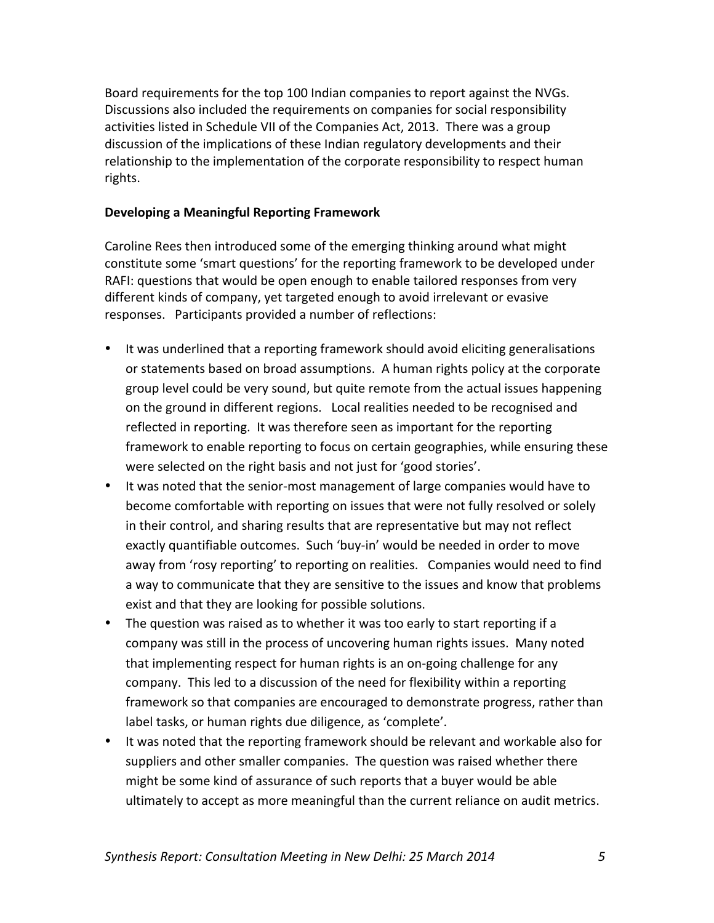Board requirements for the top 100 Indian companies to report against the NVGs. Discussions also included the requirements on companies for social responsibility activities listed in Schedule VII of the Companies Act, 2013. There was a group discussion of the implications of these Indian regulatory developments and their relationship to the implementation of the corporate responsibility to respect human rights.

### **Developing a Meaningful Reporting Framework**

Caroline Rees then introduced some of the emerging thinking around what might constitute some 'smart questions' for the reporting framework to be developed under RAFI: questions that would be open enough to enable tailored responses from very different kinds of company, yet targeted enough to avoid irrelevant or evasive responses. Participants provided a number of reflections:

- It was underlined that a reporting framework should avoid eliciting generalisations or statements based on broad assumptions. A human rights policy at the corporate group level could be very sound, but quite remote from the actual issues happening on the ground in different regions. Local realities needed to be recognised and reflected in reporting. It was therefore seen as important for the reporting framework to enable reporting to focus on certain geographies, while ensuring these were selected on the right basis and not just for 'good stories'.
- It was noted that the senior-most management of large companies would have to become comfortable with reporting on issues that were not fully resolved or solely in their control, and sharing results that are representative but may not reflect exactly quantifiable outcomes. Such 'buy-in' would be needed in order to move away from 'rosy reporting' to reporting on realities. Companies would need to find a way to communicate that they are sensitive to the issues and know that problems exist and that they are looking for possible solutions.
- The question was raised as to whether it was too early to start reporting if a company was still in the process of uncovering human rights issues. Many noted that implementing respect for human rights is an on-going challenge for any company. This led to a discussion of the need for flexibility within a reporting framework so that companies are encouraged to demonstrate progress, rather than label tasks, or human rights due diligence, as 'complete'.
- It was noted that the reporting framework should be relevant and workable also for suppliers and other smaller companies. The question was raised whether there might be some kind of assurance of such reports that a buyer would be able ultimately to accept as more meaningful than the current reliance on audit metrics.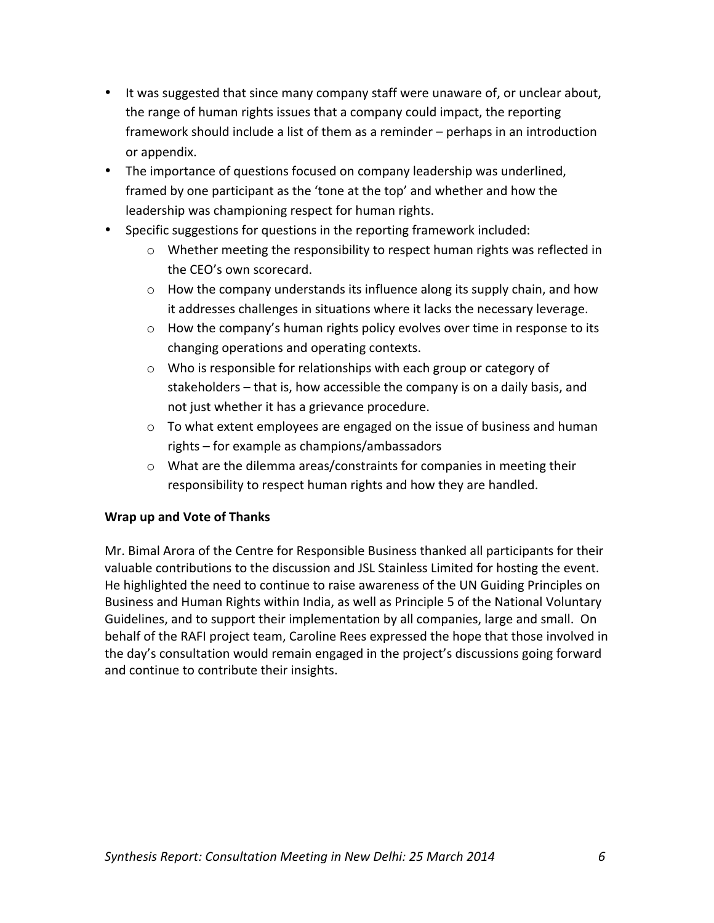- It was suggested that since many company staff were unaware of, or unclear about, the range of human rights issues that a company could impact, the reporting framework should include a list of them as a reminder – perhaps in an introduction or appendix.
- The importance of questions focused on company leadership was underlined, framed by one participant as the 'tone at the top' and whether and how the leadership was championing respect for human rights.
- Specific suggestions for questions in the reporting framework included:
	- $\circ$  Whether meeting the responsibility to respect human rights was reflected in the CEO's own scorecard.
	- $\circ$  How the company understands its influence along its supply chain, and how it addresses challenges in situations where it lacks the necessary leverage.
	- $\circ$  How the company's human rights policy evolves over time in response to its changing operations and operating contexts.
	- $\circ$  Who is responsible for relationships with each group or category of stakeholders – that is, how accessible the company is on a daily basis, and not just whether it has a grievance procedure.
	- $\circ$  To what extent employees are engaged on the issue of business and human  $rights$  – for example as champions/ambassadors
	- $\circ$  What are the dilemma areas/constraints for companies in meeting their responsibility to respect human rights and how they are handled.

# **Wrap up and Vote of Thanks**

Mr. Bimal Arora of the Centre for Responsible Business thanked all participants for their valuable contributions to the discussion and JSL Stainless Limited for hosting the event. He highlighted the need to continue to raise awareness of the UN Guiding Principles on Business and Human Rights within India, as well as Principle 5 of the National Voluntary Guidelines, and to support their implementation by all companies, large and small. On behalf of the RAFI project team, Caroline Rees expressed the hope that those involved in the day's consultation would remain engaged in the project's discussions going forward and continue to contribute their insights.